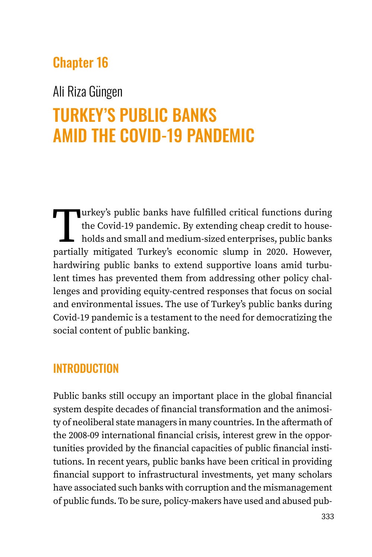# Chapter 16

# Ali Riza Güngen

# TURKEY'S PUBLIC BANKS AMID THE COVID-19 PANDEMIC

Turkey's public banks have fulfilled critical functions during<br>the Covid-19 pandemic. By extending cheap credit to house-<br>holds and small and medium-sized enterprises, public banks<br>partially mitigated Turkey's economic slu the Covid-19 pandemic. By extending cheap credit to households and small and medium-sized enterprises, public banks partially mitigated Turkey's economic slump in 2020. However, hardwiring public banks to extend supportive loans amid turbulent times has prevented them from addressing other policy challenges and providing equity-centred responses that focus on social and environmental issues. The use of Turkey's public banks during Covid-19 pandemic is a testament to the need for democratizing the social content of public banking.

## INTRODUCTION

Public banks still occupy an important place in the global financial system despite decades of financial transformation and the animosity of neoliberal state managers in many countries. In the aftermath of the 2008-09 international financial crisis, interest grew in the opportunities provided by the financial capacities of public financial institutions. In recent years, public banks have been critical in providing financial support to infrastructural investments, yet many scholars have associated such banks with corruption and the mismanagement of public funds. To be sure, policy-makers have used and abused pub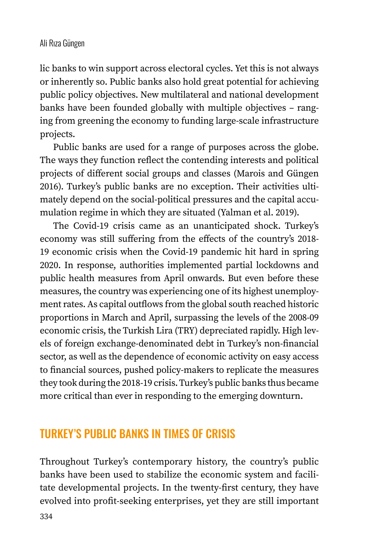lic banks to win support across electoral cycles. Yet this is not always or inherently so. Public banks also hold great potential for achieving public policy objectives. New multilateral and national development banks have been founded globally with multiple objectives – ranging from greening the economy to funding large-scale infrastructure projects.

Public banks are used for a range of purposes across the globe. The ways they function reflect the contending interests and political projects of different social groups and classes (Marois and Güngen 2016). Turkey's public banks are no exception. Their activities ultimately depend on the social-political pressures and the capital accumulation regime in which they are situated (Yalman et al. 2019).

The Covid-19 crisis came as an unanticipated shock. Turkey's economy was still suffering from the effects of the country's 2018- 19 economic crisis when the Covid-19 pandemic hit hard in spring 2020. In response, authorities implemented partial lockdowns and public health measures from April onwards. But even before these measures, the country was experiencing one of its highest unemployment rates. As capital outflows from the global south reached historic proportions in March and April, surpassing the levels of the 2008-09 economic crisis, the Turkish Lira (TRY) depreciated rapidly. High levels of foreign exchange-denominated debt in Turkey's non-financial sector, as well as the dependence of economic activity on easy access to financial sources, pushed policy-makers to replicate the measures they took during the 2018-19 crisis. Turkey's public banks thus became more critical than ever in responding to the emerging downturn.

# TURKEY'S PUBLIC BANKS IN TIMES OF CRISIS

Throughout Turkey's contemporary history, the country's public banks have been used to stabilize the economic system and facilitate developmental projects. In the twenty-first century, they have evolved into profit-seeking enterprises, yet they are still important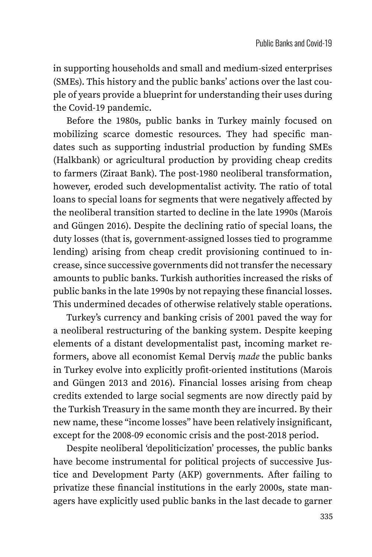in supporting households and small and medium-sized enterprises (SMEs). This history and the public banks' actions over the last couple of years provide a blueprint for understanding their uses during the Covid-19 pandemic.

Before the 1980s, public banks in Turkey mainly focused on mobilizing scarce domestic resources. They had specific mandates such as supporting industrial production by funding SMEs (Halkbank) or agricultural production by providing cheap credits to farmers (Ziraat Bank). The post-1980 neoliberal transformation, however, eroded such developmentalist activity. The ratio of total loans to special loans for segments that were negatively affected by the neoliberal transition started to decline in the late 1990s (Marois and Güngen 2016). Despite the declining ratio of special loans, the duty losses (that is, government-assigned losses tied to programme lending) arising from cheap credit provisioning continued to increase, since successive governments did not transfer the necessary amounts to public banks. Turkish authorities increased the risks of public banks in the late 1990s by not repaying these financial losses. This undermined decades of otherwise relatively stable operations.

Turkey's currency and banking crisis of 2001 paved the way for a neoliberal restructuring of the banking system. Despite keeping elements of a distant developmentalist past, incoming market reformers, above all economist Kemal Derviş *made* the public banks in Turkey evolve into explicitly profit-oriented institutions (Marois and Güngen 2013 and 2016). Financial losses arising from cheap credits extended to large social segments are now directly paid by the Turkish Treasury in the same month they are incurred. By their new name, these "income losses" have been relatively insignificant, except for the 2008-09 economic crisis and the post-2018 period.

Despite neoliberal 'depoliticization' processes, the public banks have become instrumental for political projects of successive Justice and Development Party (AKP) governments. After failing to privatize these financial institutions in the early 2000s, state managers have explicitly used public banks in the last decade to garner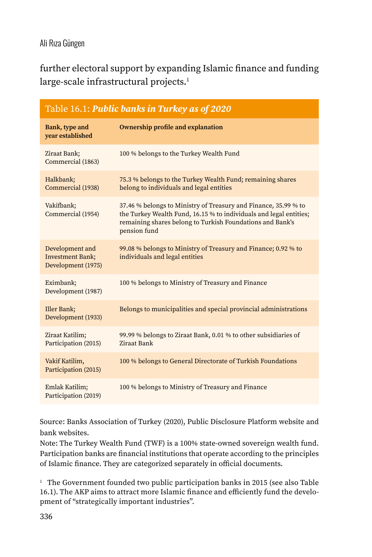further electoral support by expanding Islamic finance and funding large-scale infrastructural projects.<sup>1</sup>

| Table 16.1: Public banks in Turkey as of 2020                    |                                                                                                                                                                                                                    |  |  |  |  |  |
|------------------------------------------------------------------|--------------------------------------------------------------------------------------------------------------------------------------------------------------------------------------------------------------------|--|--|--|--|--|
| Bank, type and<br>year established                               | <b>Ownership profile and explanation</b>                                                                                                                                                                           |  |  |  |  |  |
| Ziraat Bank;<br>Commercial (1863)                                | 100 % belongs to the Turkey Wealth Fund                                                                                                                                                                            |  |  |  |  |  |
| Halkbank;<br>Commercial (1938)                                   | 75.3 % belongs to the Turkey Wealth Fund; remaining shares<br>belong to individuals and legal entities                                                                                                             |  |  |  |  |  |
| Vakifbank;<br>Commercial (1954)                                  | 37.46 % belongs to Ministry of Treasury and Finance, 35.99 % to<br>the Turkey Wealth Fund, 16.15 % to individuals and legal entities;<br>remaining shares belong to Turkish Foundations and Bank's<br>pension fund |  |  |  |  |  |
| Development and<br><b>Investment Bank;</b><br>Development (1975) | 99.08 % belongs to Ministry of Treasury and Finance; 0.92 % to<br>individuals and legal entities                                                                                                                   |  |  |  |  |  |
| Eximbank;<br>Development (1987)                                  | 100 % belongs to Ministry of Treasury and Finance                                                                                                                                                                  |  |  |  |  |  |
| Iller Bank;<br>Development (1933)                                | Belongs to municipalities and special provincial administrations                                                                                                                                                   |  |  |  |  |  |
| Ziraat Katilim;<br>Participation (2015)                          | 99.99 % belongs to Ziraat Bank, 0.01 % to other subsidiaries of<br>Ziraat Bank                                                                                                                                     |  |  |  |  |  |
| Vakif Katilim,<br>Participation (2015)                           | 100 % belongs to General Directorate of Turkish Foundations                                                                                                                                                        |  |  |  |  |  |
| Emlak Katilim;<br>Participation (2019)                           | 100 % belongs to Ministry of Treasury and Finance                                                                                                                                                                  |  |  |  |  |  |

Source: Banks Association of Turkey (2020), Public Disclosure Platform website and bank websites.

Note: The Turkey Wealth Fund (TWF) is a 100% state-owned sovereign wealth fund. Participation banks are financial institutions that operate according to the principles of Islamic finance. They are categorized separately in official documents.

<sup>1</sup> The Government founded two public participation banks in 2015 (see also Table 16.1). The AKP aims to attract more Islamic finance and efficiently fund the development of "strategically important industries".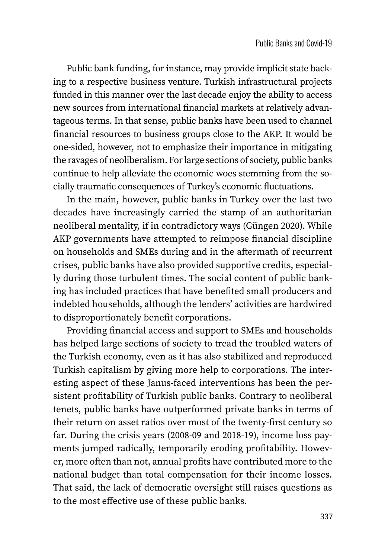Public bank funding, for instance, may provide implicit state backing to a respective business venture. Turkish infrastructural projects funded in this manner over the last decade enjoy the ability to access new sources from international financial markets at relatively advantageous terms. In that sense, public banks have been used to channel financial resources to business groups close to the AKP. It would be one-sided, however, not to emphasize their importance in mitigating the ravages of neoliberalism. For large sections of society, public banks continue to help alleviate the economic woes stemming from the socially traumatic consequences of Turkey's economic fluctuations.

In the main, however, public banks in Turkey over the last two decades have increasingly carried the stamp of an authoritarian neoliberal mentality, if in contradictory ways (Güngen 2020). While AKP governments have attempted to reimpose financial discipline on households and SMEs during and in the aftermath of recurrent crises, public banks have also provided supportive credits, especially during those turbulent times. The social content of public banking has included practices that have benefited small producers and indebted households, although the lenders' activities are hardwired to disproportionately benefit corporations.

Providing financial access and support to SMEs and households has helped large sections of society to tread the troubled waters of the Turkish economy, even as it has also stabilized and reproduced Turkish capitalism by giving more help to corporations. The interesting aspect of these Janus-faced interventions has been the persistent profitability of Turkish public banks. Contrary to neoliberal tenets, public banks have outperformed private banks in terms of their return on asset ratios over most of the twenty-first century so far. During the crisis years (2008-09 and 2018-19), income loss payments jumped radically, temporarily eroding profitability. However, more often than not, annual profits have contributed more to the national budget than total compensation for their income losses. That said, the lack of democratic oversight still raises questions as to the most effective use of these public banks.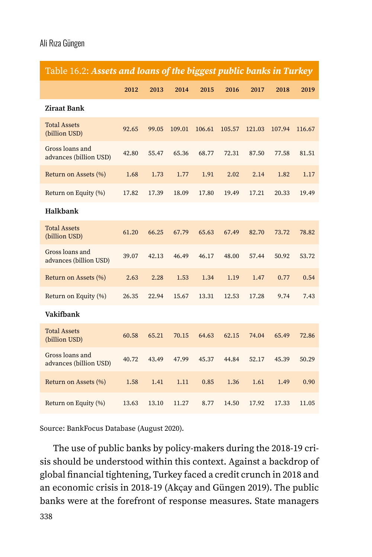| Table 16.2: Assets and loans of the biggest public banks in Turkey |       |       |        |        |        |        |        |        |
|--------------------------------------------------------------------|-------|-------|--------|--------|--------|--------|--------|--------|
|                                                                    | 2012  | 2013  | 2014   | 2015   | 2016   | 2017   | 2018   | 2019   |
| <b>Ziraat Bank</b>                                                 |       |       |        |        |        |        |        |        |
| <b>Total Assets</b><br>(billion USD)                               | 92.65 | 99.05 | 109.01 | 106.61 | 105.57 | 121.03 | 107.94 | 116.67 |
| Gross loans and<br>advances (billion USD)                          | 42.80 | 55.47 | 65.36  | 68.77  | 72.31  | 87.50  | 77.58  | 81.51  |
| Return on Assets (%)                                               | 1.68  | 1.73  | 1.77   | 1.91   | 2.02   | 2.14   | 1.82   | 1.17   |
| Return on Equity (%)                                               | 17.82 | 17.39 | 18.09  | 17.80  | 19.49  | 17.21  | 20.33  | 19.49  |
| Halkbank                                                           |       |       |        |        |        |        |        |        |
| <b>Total Assets</b><br>(billion USD)                               | 61.20 | 66.25 | 67.79  | 65.63  | 67.49  | 82.70  | 73.72  | 78.82  |
| Gross loans and<br>advances (billion USD)                          | 39.07 | 42.13 | 46.49  | 46.17  | 48.00  | 57.44  | 50.92  | 53.72  |
| Return on Assets (%)                                               | 2.63  | 2.28  | 1.53   | 1.34   | 1.19   | 1.47   | 0.77   | 0.54   |
| Return on Equity (%)                                               | 26.35 | 22.94 | 15.67  | 13.31  | 12.53  | 17.28  | 9.74   | 7.43   |
| Vakifbank                                                          |       |       |        |        |        |        |        |        |
| <b>Total Assets</b><br>(billion USD)                               | 60.58 | 65.21 | 70.15  | 64.63  | 62.15  | 74.04  | 65.49  | 72.86  |
| Gross loans and<br>advances (billion USD)                          | 40.72 | 43.49 | 47.99  | 45.37  | 44.84  | 52.17  | 45.39  | 50.29  |
| Return on Assets (%)                                               | 1.58  | 1.41  | 1.11   | 0.85   | 1.36   | 1.61   | 1.49   | 0.90   |
| Return on Equity (%)                                               | 13.63 | 13.10 | 11.27  | 8.77   | 14.50  | 17.92  | 17.33  | 11.05  |

Source: BankFocus Database (August 2020).

The use of public banks by policy-makers during the 2018-19 crisis should be understood within this context. Against a backdrop of global financial tightening, Turkey faced a credit crunch in 2018 and an economic crisis in 2018-19 (Akçay and Güngen 2019). The public banks were at the forefront of response measures. State managers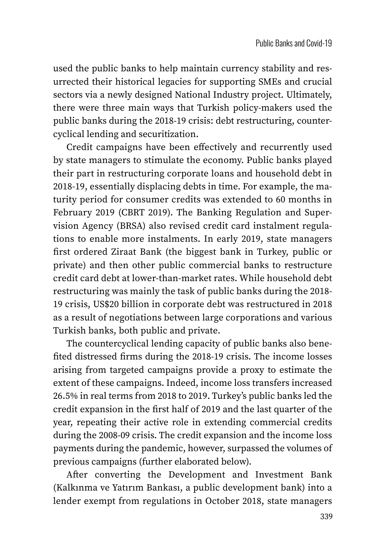used the public banks to help maintain currency stability and resurrected their historical legacies for supporting SMEs and crucial sectors via a newly designed National Industry project. Ultimately, there were three main ways that Turkish policy-makers used the public banks during the 2018-19 crisis: debt restructuring, countercyclical lending and securitization.

Credit campaigns have been effectively and recurrently used by state managers to stimulate the economy. Public banks played their part in restructuring corporate loans and household debt in 2018-19, essentially displacing debts in time. For example, the maturity period for consumer credits was extended to 60 months in February 2019 (CBRT 2019). The Banking Regulation and Supervision Agency (BRSA) also revised credit card instalment regulations to enable more instalments. In early 2019, state managers first ordered Ziraat Bank (the biggest bank in Turkey, public or private) and then other public commercial banks to restructure credit card debt at lower-than-market rates. While household debt restructuring was mainly the task of public banks during the 2018- 19 crisis, US\$20 billion in corporate debt was restructured in 2018 as a result of negotiations between large corporations and various Turkish banks, both public and private.

The countercyclical lending capacity of public banks also benefited distressed firms during the 2018-19 crisis. The income losses arising from targeted campaigns provide a proxy to estimate the extent of these campaigns. Indeed, income loss transfers increased 26.5% in real terms from 2018 to 2019. Turkey's public banks led the credit expansion in the first half of 2019 and the last quarter of the year, repeating their active role in extending commercial credits during the 2008-09 crisis. The credit expansion and the income loss payments during the pandemic, however, surpassed the volumes of previous campaigns (further elaborated below).

After converting the Development and Investment Bank (Kalkınma ve Yatırım Bankası, a public development bank) into a lender exempt from regulations in October 2018, state managers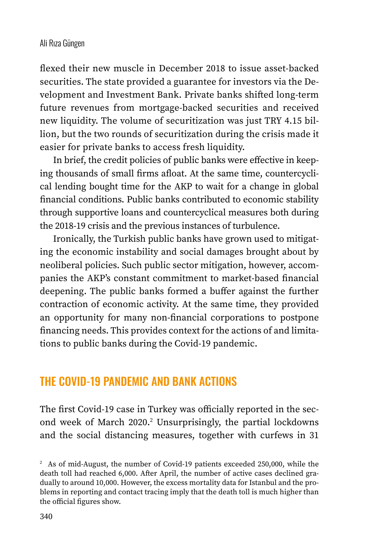flexed their new muscle in December 2018 to issue asset-backed securities. The state provided a guarantee for investors via the Development and Investment Bank. Private banks shifted long-term future revenues from mortgage-backed securities and received new liquidity. The volume of securitization was just TRY 4.15 billion, but the two rounds of securitization during the crisis made it easier for private banks to access fresh liquidity.

In brief, the credit policies of public banks were effective in keeping thousands of small firms afloat. At the same time, countercyclical lending bought time for the AKP to wait for a change in global financial conditions. Public banks contributed to economic stability through supportive loans and countercyclical measures both during the 2018-19 crisis and the previous instances of turbulence.

Ironically, the Turkish public banks have grown used to mitigating the economic instability and social damages brought about by neoliberal policies. Such public sector mitigation, however, accompanies the AKP's constant commitment to market-based financial deepening. The public banks formed a buffer against the further contraction of economic activity. At the same time, they provided an opportunity for many non-financial corporations to postpone financing needs. This provides context for the actions of and limitations to public banks during the Covid-19 pandemic.

### THE COVID-19 PANDEMIC AND BANK ACTIONS

The first Covid-19 case in Turkey was officially reported in the second week of March 2020.<sup>2</sup> Unsurprisingly, the partial lockdowns and the social distancing measures, together with curfews in 31

<sup>&</sup>lt;sup>2</sup> As of mid-August, the number of Covid-19 patients exceeded 250,000, while the death toll had reached 6,000. After April, the number of active cases declined gradually to around 10,000. However, the excess mortality data for Istanbul and the problems in reporting and contact tracing imply that the death toll is much higher than the official figures show.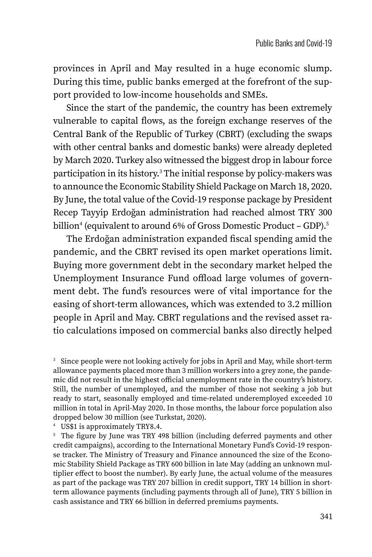provinces in April and May resulted in a huge economic slump. During this time, public banks emerged at the forefront of the support provided to low-income households and SMEs.

Since the start of the pandemic, the country has been extremely vulnerable to capital flows, as the foreign exchange reserves of the Central Bank of the Republic of Turkey (CBRT) (excluding the swaps with other central banks and domestic banks) were already depleted by March 2020. Turkey also witnessed the biggest drop in labour force participation in its history.<sup>3</sup> The initial response by policy-makers was to announce the Economic Stability Shield Package on March 18, 2020. By June, the total value of the Covid-19 response package by President Recep Tayyip Erdoğan administration had reached almost TRY 300 billion<sup>4</sup> (equivalent to around 6% of Gross Domestic Product – GDP).<sup>5</sup>

The Erdoğan administration expanded fiscal spending amid the pandemic, and the CBRT revised its open market operations limit. Buying more government debt in the secondary market helped the Unemployment Insurance Fund offload large volumes of government debt. The fund's resources were of vital importance for the easing of short-term allowances, which was extended to 3.2 million people in April and May. CBRT regulations and the revised asset ratio calculations imposed on commercial banks also directly helped

<sup>4</sup> US\$1 is approximately TRY8.4.

<sup>5</sup> The figure by June was TRY 498 billion (including deferred payments and other credit campaigns), according to the International Monetary Fund's Covid-19 response tracker. The Ministry of Treasury and Finance announced the size of the Economic Stability Shield Package as TRY 600 billion in late May (adding an unknown multiplier effect to boost the number). By early June, the actual volume of the measures as part of the package was TRY 207 billion in credit support, TRY 14 billion in shortterm allowance payments (including payments through all of June), TRY 5 billion in cash assistance and TRY 66 billion in deferred premiums payments.

<sup>&</sup>lt;sup>3</sup> Since people were not looking actively for jobs in April and May, while short-term allowance payments placed more than 3 million workers into a grey zone, the pandemic did not result in the highest official unemployment rate in the country's history. Still, the number of unemployed, and the number of those not seeking a job but ready to start, seasonally employed and time-related underemployed exceeded 10 million in total in April-May 2020. In those months, the labour force population also dropped below 30 million (see Turkstat, 2020).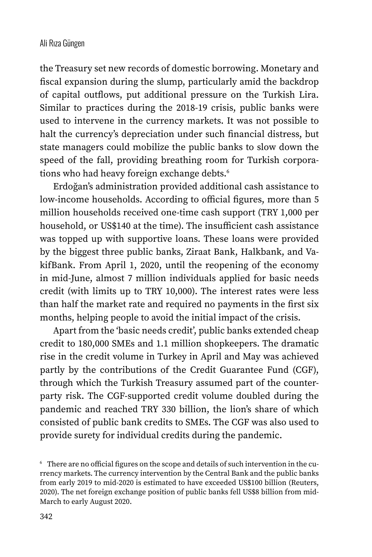the Treasury set new records of domestic borrowing. Monetary and fiscal expansion during the slump, particularly amid the backdrop of capital outflows, put additional pressure on the Turkish Lira. Similar to practices during the 2018-19 crisis, public banks were used to intervene in the currency markets. It was not possible to halt the currency's depreciation under such financial distress, but state managers could mobilize the public banks to slow down the speed of the fall, providing breathing room for Turkish corporations who had heavy foreign exchange debts.<sup>6</sup>

Erdoğan's administration provided additional cash assistance to low-income households. According to official figures, more than 5 million households received one-time cash support (TRY 1,000 per household, or US\$140 at the time). The insufficient cash assistance was topped up with supportive loans. These loans were provided by the biggest three public banks, Ziraat Bank, Halkbank, and VakifBank. From April 1, 2020, until the reopening of the economy in mid-June, almost 7 million individuals applied for basic needs credit (with limits up to TRY 10,000). The interest rates were less than half the market rate and required no payments in the first six months, helping people to avoid the initial impact of the crisis.

Apart from the 'basic needs credit', public banks extended cheap credit to 180,000 SMEs and 1.1 million shopkeepers. The dramatic rise in the credit volume in Turkey in April and May was achieved partly by the contributions of the Credit Guarantee Fund (CGF), through which the Turkish Treasury assumed part of the counterparty risk. The CGF-supported credit volume doubled during the pandemic and reached TRY 330 billion, the lion's share of which consisted of public bank credits to SMEs. The CGF was also used to provide surety for individual credits during the pandemic.

<sup>6</sup> There are no official figures on the scope and details of such intervention in the currency markets. The currency intervention by the Central Bank and the public banks from early 2019 to mid-2020 is estimated to have exceeded US\$100 billion (Reuters, 2020). The net foreign exchange position of public banks fell US\$8 billion from mid-March to early August 2020.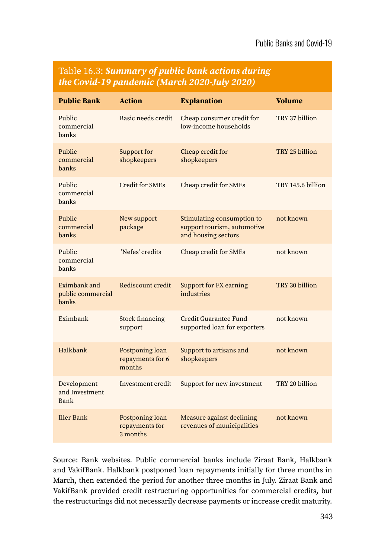| <b>Public Bank</b>                         | <b>Action</b>                                 | <b>Explanation</b>                                                               | <b>Volume</b>     |
|--------------------------------------------|-----------------------------------------------|----------------------------------------------------------------------------------|-------------------|
| Public<br>commercial<br>banks              | Basic needs credit                            | Cheap consumer credit for<br>low-income households                               | TRY 37 billion    |
| Public<br>commercial<br>banks              | Support for<br>shopkeepers                    | Cheap credit for<br>shopkeepers                                                  | TRY 25 billion    |
| Public<br>commercial<br>banks              | Credit for SMEs                               | Cheap credit for SMEs                                                            | TRY 145.6 billion |
| Public<br>commercial<br>banks              | New support<br>package                        | Stimulating consumption to<br>support tourism, automotive<br>and housing sectors | not known         |
| Public<br>commercial<br>banks              | 'Nefes' credits                               | Cheap credit for SMEs                                                            | not known         |
| Eximbank and<br>public commercial<br>banks | Rediscount credit                             | Support for FX earning<br>industries                                             | TRY 30 billion    |
| Eximbank                                   | Stock financing<br>support                    | Credit Guarantee Fund<br>supported loan for exporters                            | not known         |
| Halkbank                                   | Postponing loan<br>repayments for 6<br>months | Support to artisans and<br>shopkeepers                                           | not known         |
| Development<br>and Investment<br>Bank      | Investment credit                             | Support for new investment                                                       | TRY 20 billion    |
| Iller Bank                                 | Postponing loan<br>repayments for<br>3 months | Measure against declining<br>revenues of municipalities                          | not known         |

#### Table 16.3: *Summary of public bank actions during the Covid-19 pandemic (March 2020-July 2020)*

Source: Bank websites. Public commercial banks include Ziraat Bank, Halkbank and VakifBank. Halkbank postponed loan repayments initially for three months in March, then extended the period for another three months in July. Ziraat Bank and VakifBank provided credit restructuring opportunities for commercial credits, but the restructurings did not necessarily decrease payments or increase credit maturity.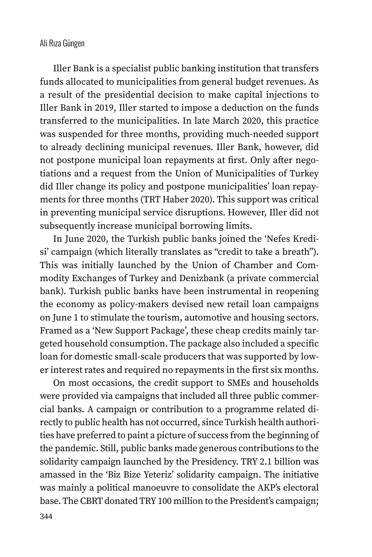Iller Bank is a specialist public banking institution that transfers funds allocated to municipalities from general budget revenues. As a result of the presidential decision to make capital injections to Iller Bank in 2019, Iller started to impose a deduction on the funds transferred to the municipalities. In late March 2020, this practice was suspended for three months, providing much-needed support to already declining municipal revenues. Iller Bank, however, did not postpone municipal loan repayments at first. Only after negotiations and a request from the Union of Municipalities of Turkey did Iller change its policy and postpone municipalities' loan repayments for three months (TRT Haber 2020). This support was critical in preventing municipal service disruptions. However, Iller did not subsequently increase municipal borrowing limits.

In June 2020, the Turkish public banks joined the 'Nefes Kredisi' campaign (which literally translates as "credit to take a breath"). This was initially launched by the Union of Chamber and Commodity Exchanges of Turkey and Denizbank (a private commercial bank). Turkish public banks have been instrumental in reopening the economy as policy-makers devised new retail loan campaigns on June 1 to stimulate the tourism, automotive and housing sectors. Framed as a 'New Support Package', these cheap credits mainly targeted household consumption. The package also included a specific loan for domestic small-scale producers that was supported by lower interest rates and required no repayments in the first six months.

On most occasions, the credit support to SMEs and households were provided via campaigns that included all three public commercial banks. A campaign or contribution to a programme related directly to public health has not occurred, since Turkish health authorities have preferred to paint a picture of success from the beginning of the pandemic. Still, public banks made generous contributions to the solidarity campaign launched by the Presidency. TRY 2.1 billion was amassed in the 'Biz Bize Yeteriz' solidarity campaign. The initiative was mainly a political manoeuvre to consolidate the AKP's electoral base. The CBRT donated TRY 100 million to the President's campaign;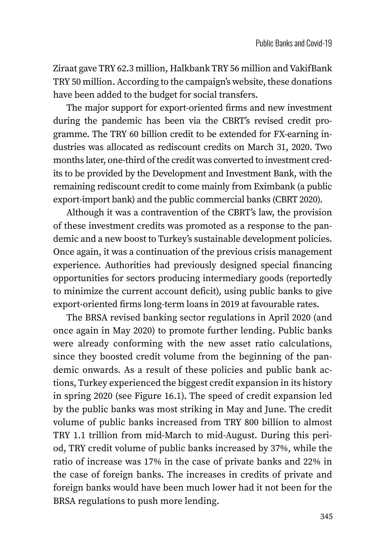Ziraat gave TRY 62.3 million, Halkbank TRY 56 million and VakifBank TRY 50 million. According to the campaign's website, these donations have been added to the budget for social transfers.

The major support for export-oriented firms and new investment during the pandemic has been via the CBRT's revised credit programme. The TRY 60 billion credit to be extended for FX-earning industries was allocated as rediscount credits on March 31, 2020. Two months later, one-third of the credit was converted to investment credits to be provided by the Development and Investment Bank, with the remaining rediscount credit to come mainly from Eximbank (a public export-import bank) and the public commercial banks (CBRT 2020).

Although it was a contravention of the CBRT's law, the provision of these investment credits was promoted as a response to the pandemic and a new boost to Turkey's sustainable development policies. Once again, it was a continuation of the previous crisis management experience. Authorities had previously designed special financing opportunities for sectors producing intermediary goods (reportedly to minimize the current account deficit), using public banks to give export-oriented firms long-term loans in 2019 at favourable rates.

The BRSA revised banking sector regulations in April 2020 (and once again in May 2020) to promote further lending. Public banks were already conforming with the new asset ratio calculations, since they boosted credit volume from the beginning of the pandemic onwards. As a result of these policies and public bank actions, Turkey experienced the biggest credit expansion in its history in spring 2020 (see Figure 16.1). The speed of credit expansion led by the public banks was most striking in May and June. The credit volume of public banks increased from TRY 800 billion to almost TRY 1.1 trillion from mid-March to mid-August. During this period, TRY credit volume of public banks increased by 37%, while the ratio of increase was 17% in the case of private banks and 22% in the case of foreign banks. The increases in credits of private and foreign banks would have been much lower had it not been for the BRSA regulations to push more lending.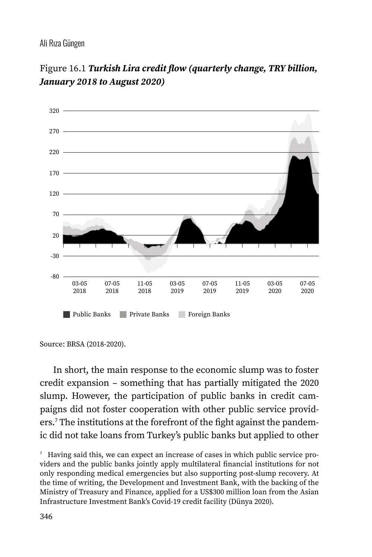



In short, the main response to the economic slump was to foster credit expansion – something that has partially mitigated the 2020 slump. However, the participation of public banks in credit campaigns did not foster cooperation with other public service providers.<sup>7</sup> The institutions at the forefront of the fight against the pandemic did not take loans from Turkey's public banks but applied to other

Source: BRSA (2018-2020).

<sup>7</sup> Having said this, we can expect an increase of cases in which public service providers and the public banks jointly apply multilateral financial institutions for not only responding medical emergencies but also supporting post-slump recovery. At the time of writing, the Development and Investment Bank, with the backing of the Ministry of Treasury and Finance, applied for a US\$300 million loan from the Asian Infrastructure Investment Bank's Covid-19 credit facility (Dünya 2020).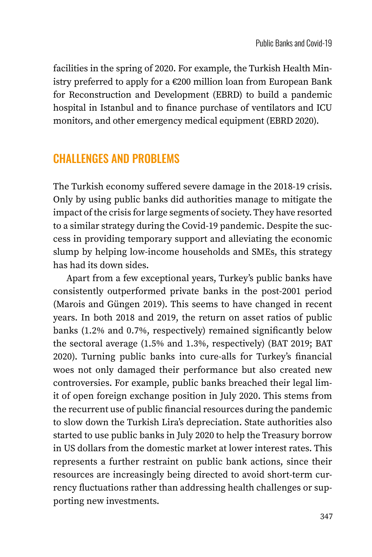facilities in the spring of 2020. For example, the Turkish Health Ministry preferred to apply for a €200 million loan from European Bank for Reconstruction and Development (EBRD) to build a pandemic hospital in Istanbul and to finance purchase of ventilators and ICU monitors, and other emergency medical equipment (EBRD 2020).

## CHALLENGES AND PROBLEMS

The Turkish economy suffered severe damage in the 2018-19 crisis. Only by using public banks did authorities manage to mitigate the impact of the crisis for large segments of society. They have resorted to a similar strategy during the Covid-19 pandemic. Despite the success in providing temporary support and alleviating the economic slump by helping low-income households and SMEs, this strategy has had its down sides.

Apart from a few exceptional years, Turkey's public banks have consistently outperformed private banks in the post-2001 period (Marois and Güngen 2019). This seems to have changed in recent years. In both 2018 and 2019, the return on asset ratios of public banks (1.2% and 0.7%, respectively) remained significantly below the sectoral average (1.5% and 1.3%, respectively) (BAT 2019; BAT 2020). Turning public banks into cure-alls for Turkey's financial woes not only damaged their performance but also created new controversies. For example, public banks breached their legal limit of open foreign exchange position in July 2020. This stems from the recurrent use of public financial resources during the pandemic to slow down the Turkish Lira's depreciation. State authorities also started to use public banks in July 2020 to help the Treasury borrow in US dollars from the domestic market at lower interest rates. This represents a further restraint on public bank actions, since their resources are increasingly being directed to avoid short-term currency fluctuations rather than addressing health challenges or supporting new investments.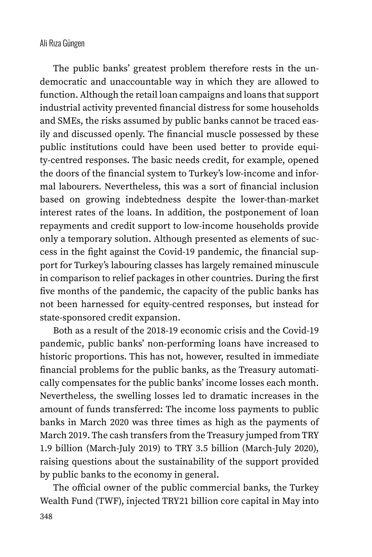The public banks' greatest problem therefore rests in the undemocratic and unaccountable way in which they are allowed to function. Although the retail loan campaigns and loans that support industrial activity prevented financial distress for some households and SMEs, the risks assumed by public banks cannot be traced easily and discussed openly. The financial muscle possessed by these public institutions could have been used better to provide equity-centred responses. The basic needs credit, for example, opened the doors of the financial system to Turkey's low-income and informal labourers. Nevertheless, this was a sort of financial inclusion based on growing indebtedness despite the lower-than-market interest rates of the loans. In addition, the postponement of loan repayments and credit support to low-income households provide only a temporary solution. Although presented as elements of success in the fight against the Covid-19 pandemic, the financial support for Turkey's labouring classes has largely remained minuscule in comparison to relief packages in other countries. During the first five months of the pandemic, the capacity of the public banks has not been harnessed for equity-centred responses, but instead for state-sponsored credit expansion.

Both as a result of the 2018-19 economic crisis and the Covid-19 pandemic, public banks' non-performing loans have increased to historic proportions. This has not, however, resulted in immediate financial problems for the public banks, as the Treasury automatically compensates for the public banks' income losses each month. Nevertheless, the swelling losses led to dramatic increases in the amount of funds transferred: The income loss payments to public banks in March 2020 was three times as high as the payments of March 2019. The cash transfers from the Treasury jumped from TRY 1.9 billion (March-July 2019) to TRY 3.5 billion (March-July 2020), raising questions about the sustainability of the support provided by public banks to the economy in general.

The official owner of the public commercial banks, the Turkey Wealth Fund (TWF), injected TRY21 billion core capital in May into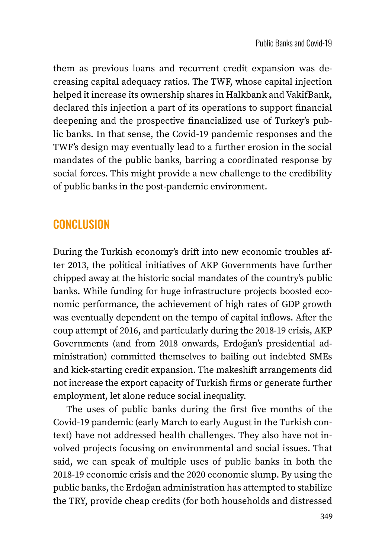them as previous loans and recurrent credit expansion was decreasing capital adequacy ratios. The TWF, whose capital injection helped it increase its ownership shares in Halkbank and VakifBank, declared this injection a part of its operations to support financial deepening and the prospective financialized use of Turkey's public banks. In that sense, the Covid-19 pandemic responses and the TWF's design may eventually lead to a further erosion in the social mandates of the public banks, barring a coordinated response by social forces. This might provide a new challenge to the credibility of public banks in the post-pandemic environment.

## **CONCLUSION**

During the Turkish economy's drift into new economic troubles after 2013, the political initiatives of AKP Governments have further chipped away at the historic social mandates of the country's public banks. While funding for huge infrastructure projects boosted economic performance, the achievement of high rates of GDP growth was eventually dependent on the tempo of capital inflows. After the coup attempt of 2016, and particularly during the 2018-19 crisis, AKP Governments (and from 2018 onwards, Erdoğan's presidential administration) committed themselves to bailing out indebted SMEs and kick-starting credit expansion. The makeshift arrangements did not increase the export capacity of Turkish firms or generate further employment, let alone reduce social inequality.

The uses of public banks during the first five months of the Covid-19 pandemic (early March to early August in the Turkish context) have not addressed health challenges. They also have not involved projects focusing on environmental and social issues. That said, we can speak of multiple uses of public banks in both the 2018-19 economic crisis and the 2020 economic slump. By using the public banks, the Erdoğan administration has attempted to stabilize the TRY, provide cheap credits (for both households and distressed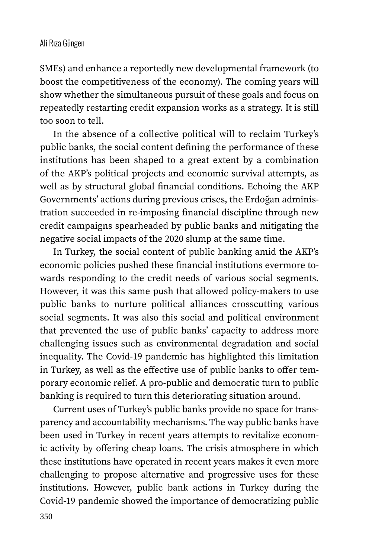SMEs) and enhance a reportedly new developmental framework (to boost the competitiveness of the economy). The coming years will show whether the simultaneous pursuit of these goals and focus on repeatedly restarting credit expansion works as a strategy. It is still too soon to tell.

In the absence of a collective political will to reclaim Turkey's public banks, the social content defining the performance of these institutions has been shaped to a great extent by a combination of the AKP's political projects and economic survival attempts, as well as by structural global financial conditions. Echoing the AKP Governments' actions during previous crises, the Erdoğan administration succeeded in re-imposing financial discipline through new credit campaigns spearheaded by public banks and mitigating the negative social impacts of the 2020 slump at the same time.

In Turkey, the social content of public banking amid the AKP's economic policies pushed these financial institutions evermore towards responding to the credit needs of various social segments. However, it was this same push that allowed policy-makers to use public banks to nurture political alliances crosscutting various social segments. It was also this social and political environment that prevented the use of public banks' capacity to address more challenging issues such as environmental degradation and social inequality. The Covid-19 pandemic has highlighted this limitation in Turkey, as well as the effective use of public banks to offer temporary economic relief. A pro-public and democratic turn to public banking is required to turn this deteriorating situation around.

Current uses of Turkey's public banks provide no space for transparency and accountability mechanisms. The way public banks have been used in Turkey in recent years attempts to revitalize economic activity by offering cheap loans. The crisis atmosphere in which these institutions have operated in recent years makes it even more challenging to propose alternative and progressive uses for these institutions. However, public bank actions in Turkey during the Covid-19 pandemic showed the importance of democratizing public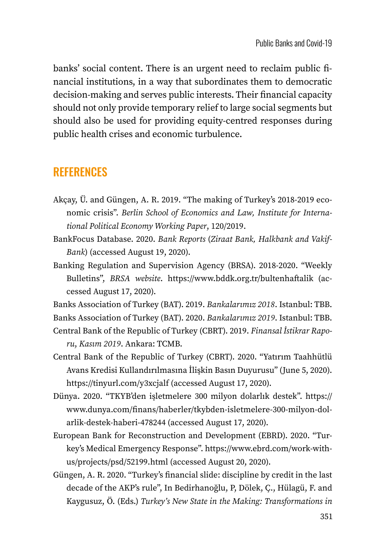banks' social content. There is an urgent need to reclaim public financial institutions, in a way that subordinates them to democratic decision-making and serves public interests. Their financial capacity should not only provide temporary relief to large social segments but should also be used for providing equity-centred responses during public health crises and economic turbulence.

## **REFERENCES**

- Akçay, Ü. and Güngen, A. R. 2019. "The making of Turkey's 2018-2019 economic crisis". *Berlin School of Economics and Law, Institute for International Political Economy Working Paper*, 120/2019.
- BankFocus Database. 2020. *Bank Reports* (*Ziraat Bank, Halkbank and Vakif-Bank*) (accessed August 19, 2020).
- Banking Regulation and Supervision Agency (BRSA). 2018-2020. "Weekly Bulletins", *BRSA website*. <https://www.bddk.org.tr/bultenhaftalik> (accessed August 17, 2020).

Banks Association of Turkey (BAT). 2019. *Bankalarımız 2018*. Istanbul: TBB.

Banks Association of Turkey (BAT). 2020. *Bankalarımız 2019*. Istanbul: TBB.

Central Bank of the Republic of Turkey (CBRT). 2019. *Finansal İstikrar Raporu*, *Kasım 2019*. Ankara: TCMB.

- Central Bank of the Republic of Turkey (CBRT). 2020. "Yatırım Taahhütlü Avans Kredisi Kullandırılmasına İlişkin Basın Duyurusu" (June 5, 2020). <https://tinyurl.com/y3xcjalf> (accessed August 17, 2020).
- Dünya. 2020. "TKYB'den işletmelere 300 milyon dolarlık destek". [https://](https://www.dunya.com/finans/haberler/tkybden-isletmelere-300-milyon-dolarlik-destek-haberi-478244) [www.dunya.com/finans/haberler/tkybden-isletmelere-300-milyon-dol](https://www.dunya.com/finans/haberler/tkybden-isletmelere-300-milyon-dolarlik-destek-haberi-478244)[arlik-destek-haberi-478244](https://www.dunya.com/finans/haberler/tkybden-isletmelere-300-milyon-dolarlik-destek-haberi-478244) (accessed August 17, 2020).
- European Bank for Reconstruction and Development (EBRD). 2020. "Turkey's Medical Emergency Response". [https://www.ebrd.com/work-with](https://www.ebrd.com/work-with-us/projects/psd/52199.html)[us/projects/psd/52199.html](https://www.ebrd.com/work-with-us/projects/psd/52199.html) (accessed August 20, 2020).
- Güngen, A. R. 2020. "Turkey's financial slide: discipline by credit in the last decade of the AKP's rule", In Bedirhanoğlu, P, Dölek, Ç., Hülagü, F. and Kaygusuz, Ö. (Eds.) *Turkey's New State in the Making: Transformations in*